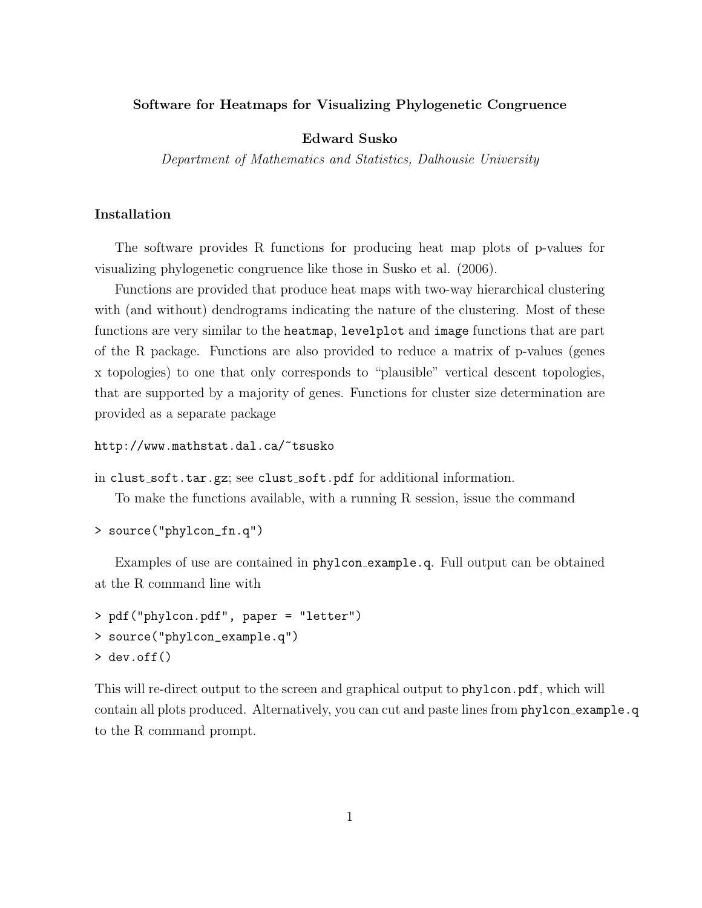#### Software for Heatmaps for Visualizing Phylogenetic Congruence

### Edward Susko

Department of Mathematics and Statistics, Dalhousie University

# Installation

The software provides R functions for producing heat map plots of p-values for visualizing phylogenetic congruence like those in Susko et al. (2006).

Functions are provided that produce heat maps with two-way hierarchical clustering with (and without) dendrograms indicating the nature of the clustering. Most of these functions are very similar to the heatmap, levelplot and image functions that are part of the R package. Functions are also provided to reduce a matrix of p-values (genes x topologies) to one that only corresponds to "plausible" vertical descent topologies, that are supported by a majority of genes. Functions for cluster size determination are provided as a separate package

```
http://www.mathstat.dal.ca/~tsusko
```
in clust soft.tar.gz; see clust soft.pdf for additional information.

To make the functions available, with a running R session, issue the command

```
> source("phylcon_fn.q")
```
Examples of use are contained in phylcon example.q. Full output can be obtained at the R command line with

```
> pdf("phylcon.pdf", paper = "letter")
> source("phylcon_example.q")
> dev.off()
```
This will re-direct output to the screen and graphical output to phylcon.pdf, which will contain all plots produced. Alternatively, you can cut and paste lines from phylcon example.q to the R command prompt.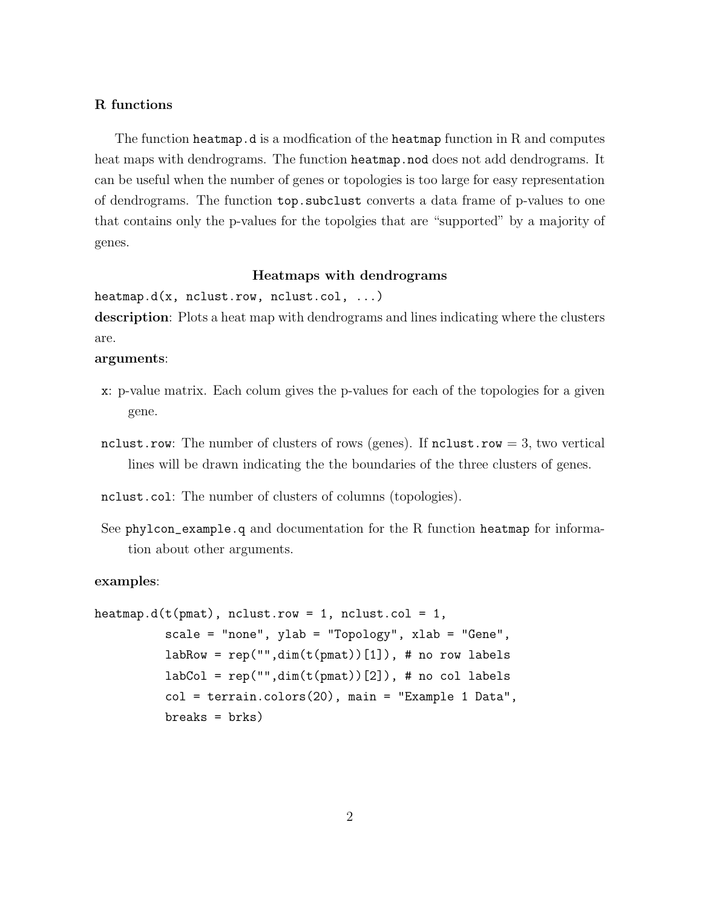## R functions

The function heatmap.d is a modfication of the heatmap function in R and computes heat maps with dendrograms. The function heatmap.nod does not add dendrograms. It can be useful when the number of genes or topologies is too large for easy representation of dendrograms. The function top.subclust converts a data frame of p-values to one that contains only the p-values for the topolgies that are "supported" by a majority of genes.

### Heatmaps with dendrograms

heatmap.d(x, nclust.row, nclust.col,  $\dots$ )

description: Plots a heat map with dendrograms and lines indicating where the clusters are.

# arguments:

- x: p-value matrix. Each colum gives the p-values for each of the topologies for a given gene.
- nclust.row: The number of clusters of rows (genes). If nclust.row  $= 3$ , two vertical lines will be drawn indicating the the boundaries of the three clusters of genes.

nclust.col: The number of clusters of columns (topologies).

See phylcon\_example.q and documentation for the R function heatmap for information about other arguments.

#### examples:

```
heatmap.d(t(pmat), nclust.row = 1, nclust.col = 1,
          scale = "none", ylab = "Topology", xlab = "Gene",labRow = rep("", dim(t(pmat))[1]), # no row labelslabCol = rep("", dim(t(pmat))[2]), # no col labelscol = terrain.colors(20), main = "Example 1 Data",
          breaks = brks)
```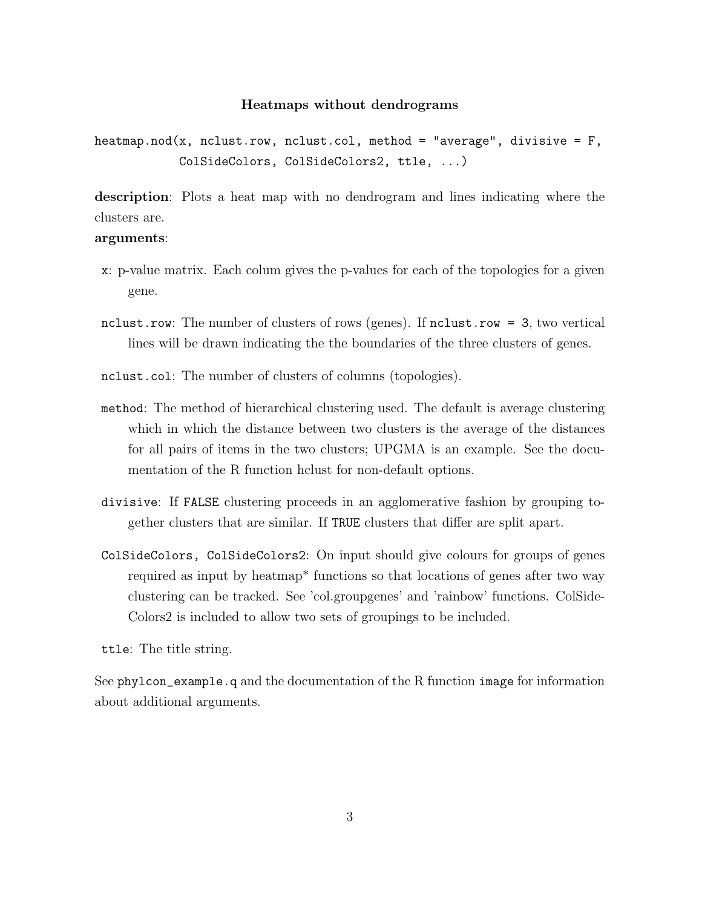#### Heatmaps without dendrograms

heatmap.nod(x, nclust.row, nclust.col, method = "average", divisive =  $F$ , ColSideColors, ColSideColors2, ttle, ...)

description: Plots a heat map with no dendrogram and lines indicating where the clusters are.

## arguments:

- x: p-value matrix. Each colum gives the p-values for each of the topologies for a given gene.
- nclust.row: The number of clusters of rows (genes). If nclust.row = 3, two vertical lines will be drawn indicating the the boundaries of the three clusters of genes.
- nclust.col: The number of clusters of columns (topologies).
- method: The method of hierarchical clustering used. The default is average clustering which in which the distance between two clusters is the average of the distances for all pairs of items in the two clusters; UPGMA is an example. See the documentation of the R function hclust for non-default options.
- divisive: If FALSE clustering proceeds in an agglomerative fashion by grouping together clusters that are similar. If TRUE clusters that differ are split apart.
- ColSideColors, ColSideColors2: On input should give colours for groups of genes required as input by heatmap\* functions so that locations of genes after two way clustering can be tracked. See 'col.groupgenes' and 'rainbow' functions. ColSide-Colors2 is included to allow two sets of groupings to be included.

ttle: The title string.

See phylcon\_example.q and the documentation of the R function image for information about additional arguments.